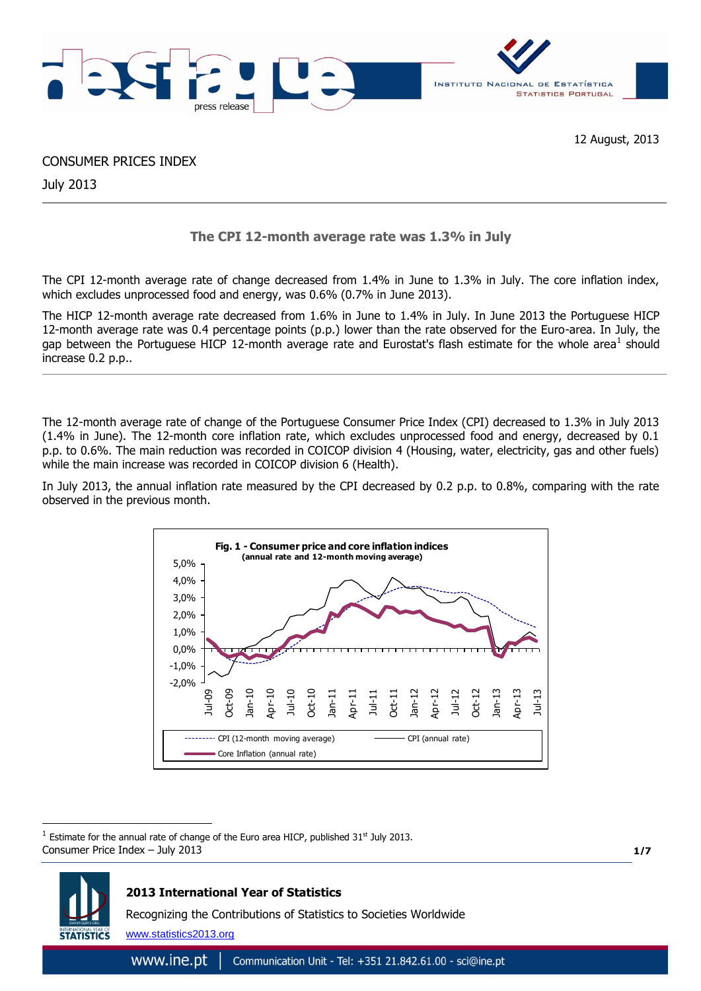

# CONSUMER PRICES INDEX

July 2013

# **The CPI 12-month average rate was 1.3% in July**

The CPI 12-month average rate of change decreased from 1.4% in June to 1.3% in July. The core inflation index, which excludes unprocessed food and energy, was 0.6% (0.7% in June 2013).

The HICP 12-month average rate decreased from 1.6% in June to 1.4% in July. In June 2013 the Portuguese HICP 12-month average rate was 0.4 percentage points (p.p.) lower than the rate observed for the Euro-area. In July, the gap between the Portuguese HICP 12-month average rate and Eurostat's flash estimate for the whole area<sup>1</sup> should increase 0.2 p.p..

The 12-month average rate of change of the Portuguese Consumer Price Index (CPI) decreased to 1.3% in July 2013 (1.4% in June). The 12-month core inflation rate, which excludes unprocessed food and energy, decreased by 0.1 p.p. to 0.6%. The main reduction was recorded in COICOP division 4 (Housing, water, electricity, gas and other fuels) while the main increase was recorded in COICOP division 6 (Health).

In July 2013, the annual inflation rate measured by the CPI decreased by 0.2 p.p. to 0.8%, comparing with the rate observed in the previous month.



Consumer Price Index – July 2013 <sup>1</sup> Estimate for the annual rate of change of the Euro area HICP, published 31<sup>st</sup> July 2013.

**1/7**



1

# **2013 International Year of Statistics**

Recognizing the Contributions of Statistics to Societies Worldwide

www.statistics2013.org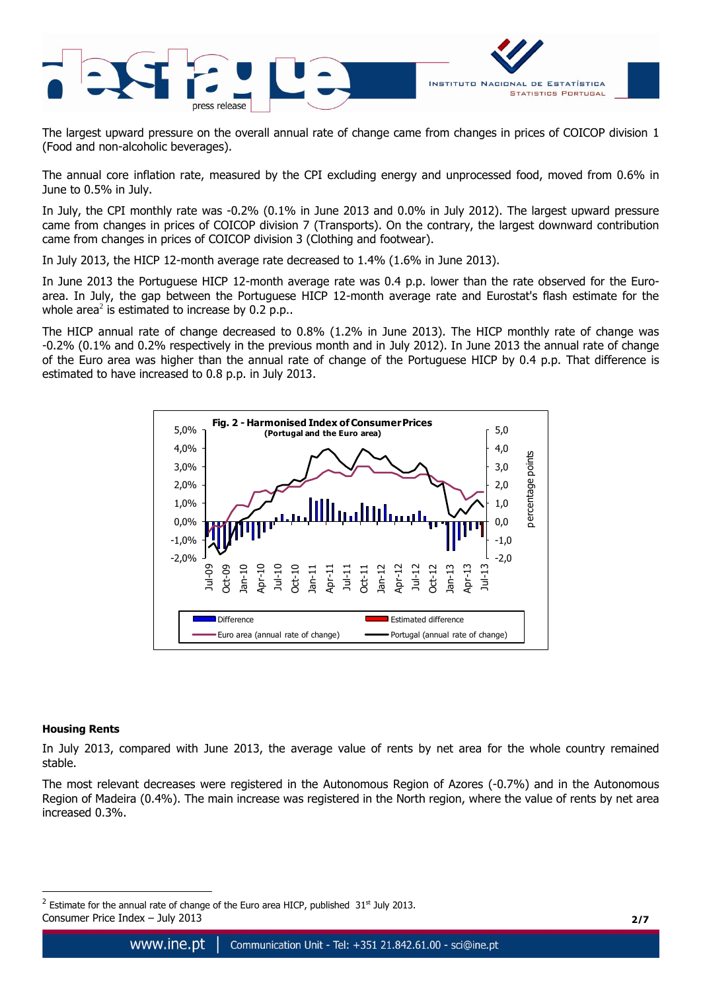

The largest upward pressure on the overall annual rate of change came from changes in prices of COICOP division 1 (Food and non-alcoholic beverages).

The annual core inflation rate, measured by the CPI excluding energy and unprocessed food, moved from 0.6% in June to 0.5% in July.

In July, the CPI monthly rate was -0.2% (0.1% in June 2013 and 0.0% in July 2012). The largest upward pressure came from changes in prices of COICOP division 7 (Transports). On the contrary, the largest downward contribution came from changes in prices of COICOP division 3 (Clothing and footwear).

In July 2013, the HICP 12-month average rate decreased to 1.4% (1.6% in June 2013).

In June 2013 the Portuguese HICP 12-month average rate was 0.4 p.p. lower than the rate observed for the Euroarea. In July, the gap between the Portuguese HICP 12-month average rate and Eurostat's flash estimate for the whole area<sup>2</sup> is estimated to increase by 0.2 p.p..

The HICP annual rate of change decreased to 0.8% (1.2% in June 2013). The HICP monthly rate of change was -0.2% (0.1% and 0.2% respectively in the previous month and in July 2012). In June 2013 the annual rate of change of the Euro area was higher than the annual rate of change of the Portuguese HICP by 0.4 p.p. That difference is estimated to have increased to 0.8 p.p. in July 2013.



# **Housing Rents**

<u>.</u>

In July 2013, compared with June 2013, the average value of rents by net area for the whole country remained stable.

The most relevant decreases were registered in the Autonomous Region of Azores (-0.7%) and in the Autonomous Region of Madeira (0.4%). The main increase was registered in the North region, where the value of rents by net area increased 0.3%.

Consumer Price Index - July 2013 <sup>2</sup> Estimate for the annual rate of change of the Euro area HICP, published  $31<sup>st</sup>$  July 2013.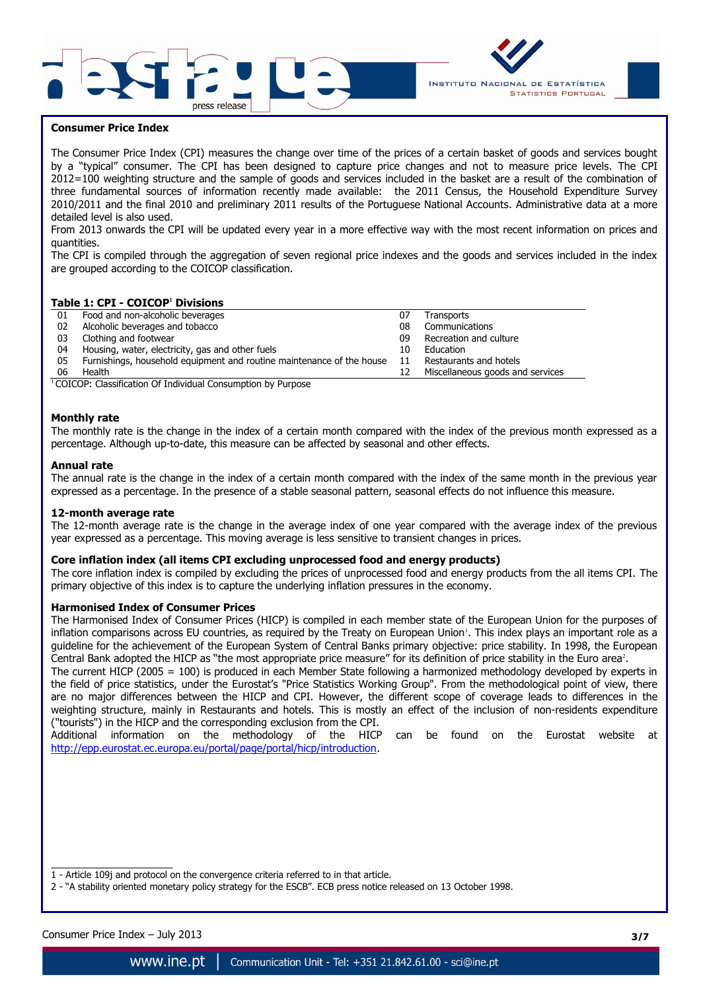



### **Consumer Price Index**

The Consumer Price Index (CPI) measures the change over time of the prices of a certain basket of goods and services bought by a "typical" consumer. The CPI has been designed to capture price changes and not to measure price levels. The CPI 2012=100 weighting structure and the sample of goods and services included in the basket are a result of the combination of three fundamental sources of information recently made available: the 2011 Census, the Household Expenditure Survey 2010/2011 and the final 2010 and preliminary 2011 results of the Portuguese National Accounts. Administrative data at a more detailed level is also used.

From 2013 onwards the CPI will be updated every year in a more effective way with the most recent information on prices and quantities.

The CPI is compiled through the aggregation of seven regional price indexes and the goods and services included in the index are grouped according to the COICOP classification.

# **Table 1: CPI - COICOP<sup>1</sup> Divisions**

| 01 | Food and non-alcoholic beverages                                      | 07 | Transports                       |
|----|-----------------------------------------------------------------------|----|----------------------------------|
| 02 | Alcoholic beverages and tobacco                                       | 08 | Communications                   |
| 03 | Clothing and footwear                                                 | 09 | Recreation and culture           |
| 04 | Housing, water, electricity, gas and other fuels                      | 10 | Education                        |
| 05 | Furnishings, household equipment and routine maintenance of the house | 11 | Restaurants and hotels           |
| 06 | Health                                                                |    | Miscellaneous goods and services |

 $1$ COICOP: Classification Of Individual Consumption by Purpose

#### **Monthly rate**

The monthly rate is the change in the index of a certain month compared with the index of the previous month expressed as a percentage. Although up-to-date, this measure can be affected by seasonal and other effects.

#### **Annual rate**

The annual rate is the change in the index of a certain month compared with the index of the same month in the previous year expressed as a percentage. In the presence of a stable seasonal pattern, seasonal effects do not influence this measure.

#### **12-month average rate**

The 12-month average rate is the change in the average index of one year compared with the average index of the previous year expressed as a percentage. This moving average is less sensitive to transient changes in prices.

### **Core inflation index (all items CPI excluding unprocessed food and energy products)**

The core inflation index is compiled by excluding the prices of unprocessed food and energy products from the all items CPI. The primary objective of this index is to capture the underlying inflation pressures in the economy.

### **Harmonised Index of Consumer Prices**

The Harmonised Index of Consumer Prices (HICP) is compiled in each member state of the European Union for the purposes of inflation comparisons across EU countries, as required by the Treaty on European Union<sup>1</sup>. This index plays an important role as a guideline for the achievement of the European System of Central Banks primary objective: price stability. In 1998, the European Central Bank adopted the HICP as "the most appropriate price measure" for its definition of price stability in the Euro area<sup>2</sup>.

The current HICP (2005 = 100) is produced in each Member State following a harmonized methodology developed by experts in the field of price statistics, under the Eurostat's "Price Statistics Working Group". From the methodological point of view, there are no major differences between the HICP and CPI. However, the different scope of coverage leads to differences in the weighting structure, mainly in Restaurants and hotels. This is mostly an effect of the inclusion of non-residents expenditure ("tourists") in the HICP and the corresponding exclusion from the CPI.

Additional information on the methodology of the HICP can be found on the Eurostat website at [http://epp.eurostat.ec.europa.eu/portal/page/portal/hicp/introduction.](http://epp.eurostat.ec.europa.eu/portal/page/portal/hicp/introduction)

- 1 Article 109j and protocol on the convergence criteria referred to in that article.
- 2 "A stability oriented monetary policy strategy for the ESCB". ECB press notice released on 13 October 1998.

Consumer Price Index - July 2013

 $\_$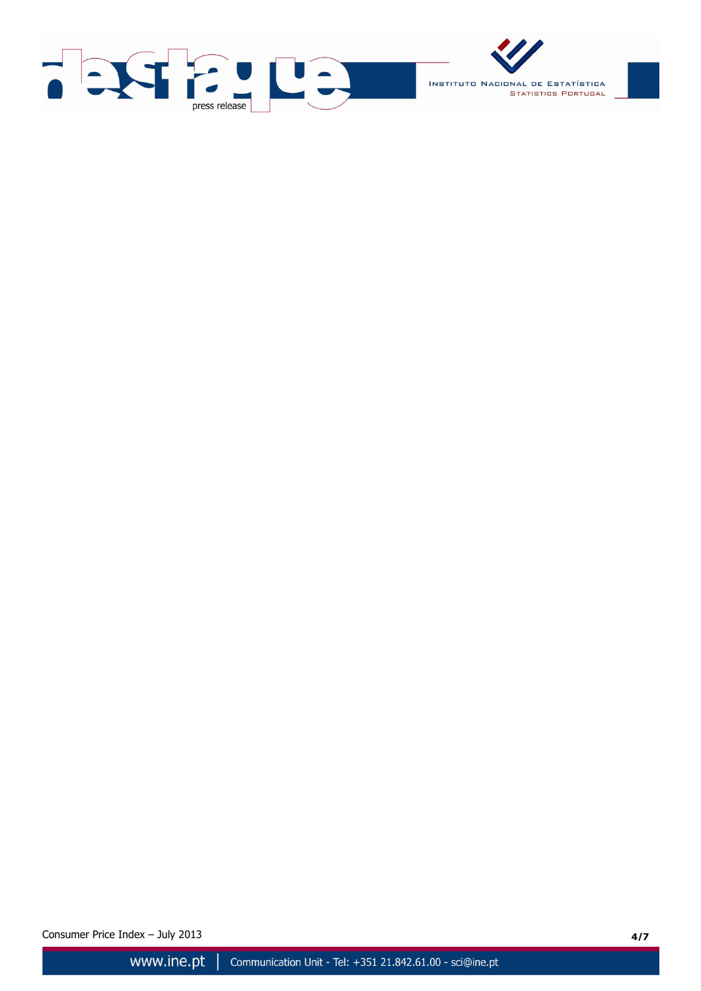

Consumer Price Index – July 2013 **4/7**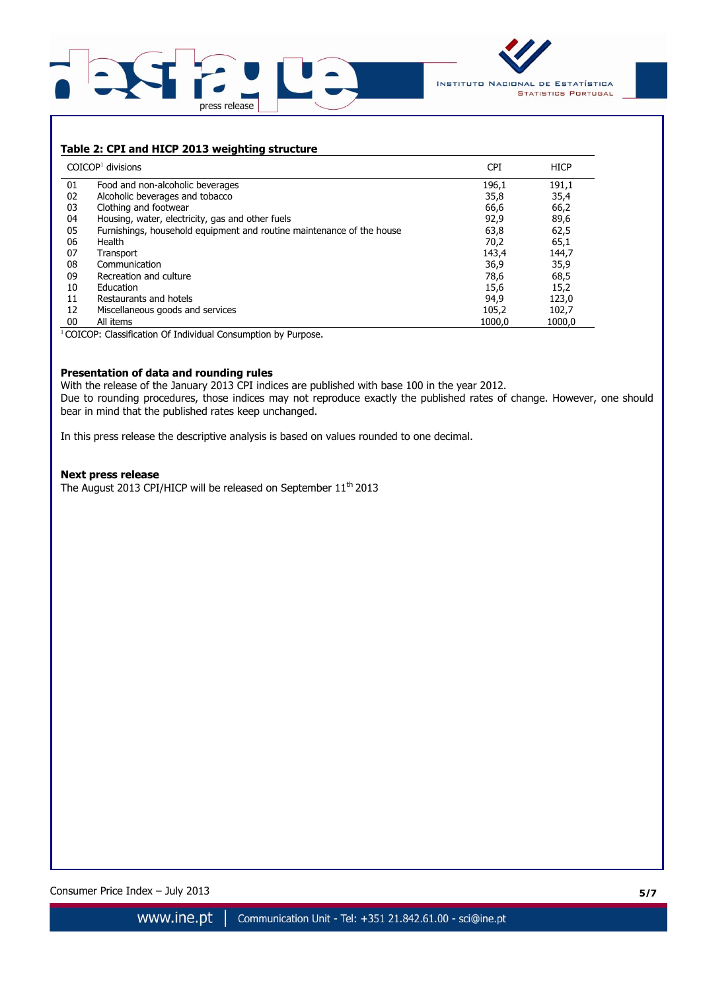



# **Table 2: CPI and HICP 2013 weighting structure**

|    | $COICOP1$ divisions                                                   | <b>CPI</b> | <b>HICP</b> |
|----|-----------------------------------------------------------------------|------------|-------------|
| 01 | Food and non-alcoholic beverages                                      | 196,1      | 191,1       |
| 02 | Alcoholic beverages and tobacco                                       | 35,8       | 35,4        |
| 03 | Clothing and footwear                                                 | 66,6       | 66,2        |
| 04 | Housing, water, electricity, gas and other fuels                      | 92,9       | 89,6        |
| 05 | Furnishings, household equipment and routine maintenance of the house | 63,8       | 62,5        |
| 06 | Health                                                                | 70,2       | 65,1        |
| 07 | Transport                                                             | 143,4      | 144,7       |
| 08 | Communication                                                         | 36,9       | 35,9        |
| 09 | Recreation and culture                                                | 78,6       | 68,5        |
| 10 | Education                                                             | 15,6       | 15,2        |
| 11 | Restaurants and hotels                                                | 94,9       | 123,0       |
| 12 | Miscellaneous goods and services                                      | 105,2      | 102,7       |
| 00 | All items                                                             | 1000.0     | 1000.0      |

<sup>1</sup> COICOP: Classification Of Individual Consumption by Purpose.

### **Presentation of data and rounding rules**

With the release of the January 2013 CPI indices are published with base 100 in the year 2012. Due to rounding procedures, those indices may not reproduce exactly the published rates of change. However, one should bear in mind that the published rates keep unchanged.

In this press release the descriptive analysis is based on values rounded to one decimal.

### **Next press release**

The August 2013 CPI/HICP will be released on September 11<sup>th</sup> 2013

Consumer Price Index – July 2013 **5/7**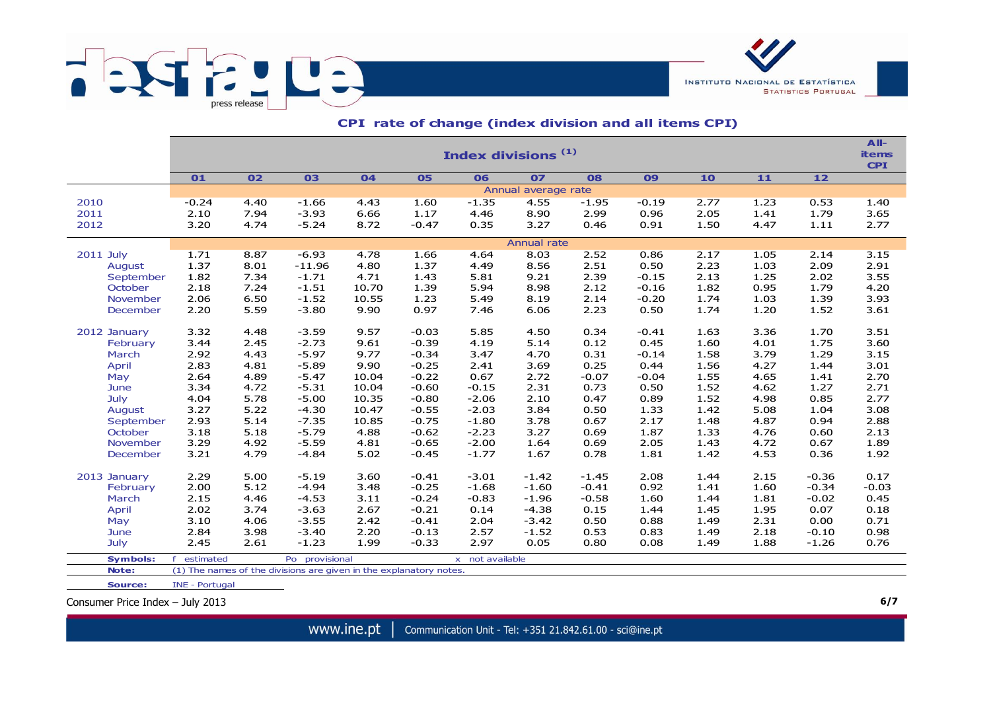

|                  |                                                                         | Index divisions <sup>(1)</sup> |                                                                    |       |         |                 |                     |         |         |              |      |         |         |  |  |  |
|------------------|-------------------------------------------------------------------------|--------------------------------|--------------------------------------------------------------------|-------|---------|-----------------|---------------------|---------|---------|--------------|------|---------|---------|--|--|--|
|                  | 02<br>03<br>04<br>05<br>06<br>07<br>01<br>08<br>09<br>10<br>11<br>12    |                                |                                                                    |       |         |                 |                     |         |         |              |      |         |         |  |  |  |
|                  |                                                                         |                                |                                                                    |       |         |                 | Annual average rate |         |         |              |      |         |         |  |  |  |
| 2010             | $-0.24$                                                                 | 4.40                           | $-1.66$                                                            | 4.43  | 1.60    | $-1.35$         | 4.55                | $-1.95$ | $-0.19$ | 2.77         | 1.23 | 0.53    | 1.40    |  |  |  |
| 2011             | 2.10                                                                    | 7.94                           | $-3.93$                                                            | 6.66  | 1.17    | 4.46            | 8.90                | 2.99    | 0.96    | 2.05         | 1.41 | 1.79    | 3.65    |  |  |  |
| 2012             | 3.20                                                                    | 4.74                           | $-5.24$                                                            | 8.72  | $-0.47$ | 0.35            | 3.27                | 0.46    | 0.91    | 1.50         | 4.47 | 1.11    | 2.77    |  |  |  |
|                  |                                                                         | <b>Annual rate</b>             |                                                                    |       |         |                 |                     |         |         |              |      |         |         |  |  |  |
| <b>2011 July</b> | 8.87<br>$-6.93$<br>4.78<br>1.66<br>4.64<br>8.03<br>2.52<br>0.86<br>1.71 |                                |                                                                    |       |         |                 |                     |         |         |              | 1.05 | 2.14    | 3.15    |  |  |  |
| <b>August</b>    | 1.37                                                                    | 8.01                           | $-11.96$                                                           | 4.80  | 1.37    | 4.49            | 8.56                | 2.51    | 0.50    | 2.17<br>2.23 | 1.03 | 2.09    | 2.91    |  |  |  |
| September        | 1.82                                                                    | 7.34                           | $-1.71$                                                            | 4.71  | 1.43    | 5.81            | 9.21                | 2.39    | $-0.15$ | 2.13         | 1.25 | 2.02    | 3.55    |  |  |  |
| October          | 2.18                                                                    | 7.24                           | $-1.51$                                                            | 10.70 | 1.39    | 5.94            | 8.98                | 2.12    | $-0.16$ | 1.82         | 0.95 | 1.79    | 4.20    |  |  |  |
| November         | 2.06                                                                    | 6.50                           | $-1.52$                                                            | 10.55 | 1.23    | 5.49            | 8.19                | 2.14    | $-0.20$ | 1.74         | 1.03 | 1.39    | 3.93    |  |  |  |
| <b>December</b>  | 2.20                                                                    | 5.59                           | $-3.80$                                                            | 9.90  | 0.97    | 7.46            | 6.06                | 2.23    | 0.50    | 1.74         | 1.20 | 1.52    | 3.61    |  |  |  |
|                  |                                                                         |                                |                                                                    |       |         |                 |                     |         |         |              |      |         |         |  |  |  |
| 2012 January     | 3.32                                                                    | 4.48                           | $-3.59$                                                            | 9.57  | $-0.03$ | 5.85            | 4.50                | 0.34    | $-0.41$ | 1.63         | 3.36 | 1.70    | 3.51    |  |  |  |
| February         | 3.44                                                                    | 2.45                           | $-2.73$                                                            | 9.61  | $-0.39$ | 4.19            | 5.14                | 0.12    | 0.45    | 1.60         | 4.01 | 1.75    | 3.60    |  |  |  |
| March            | 2.92                                                                    | 4.43                           | $-5.97$                                                            | 9.77  | $-0.34$ | 3.47            | 4.70                | 0.31    | $-0.14$ | 1.58         | 3.79 | 1.29    | 3.15    |  |  |  |
| April            | 2.83                                                                    | 4.81                           | $-5.89$                                                            | 9.90  | $-0.25$ | 2.41            | 3.69                | 0.25    | 0.44    | 1.56         | 4.27 | 1.44    | 3.01    |  |  |  |
| May              | 2.64                                                                    | 4.89                           | $-5.47$                                                            | 10.04 | $-0.22$ | 0.67            | 2.72                | $-0.07$ | $-0.04$ | 1.55         | 4.65 | 1.41    | 2.70    |  |  |  |
| June             | 3.34                                                                    | 4.72                           | $-5.31$                                                            | 10.04 | $-0.60$ | $-0.15$         | 2.31                | 0.73    | 0.50    | 1.52         | 4.62 | 1.27    | 2.71    |  |  |  |
| <b>July</b>      | 4.04                                                                    | 5.78                           | $-5.00$                                                            | 10.35 | $-0.80$ | $-2.06$         | 2.10                | 0.47    | 0.89    | 1.52         | 4.98 | 0.85    | 2.77    |  |  |  |
| <b>August</b>    | 3.27                                                                    | 5.22                           | $-4.30$                                                            | 10.47 | $-0.55$ | $-2.03$         | 3.84                | 0.50    | 1.33    | 1.42         | 5.08 | 1.04    | 3.08    |  |  |  |
| September        | 2.93                                                                    | 5.14                           | $-7.35$                                                            | 10.85 | $-0.75$ | $-1.80$         | 3.78                | 0.67    | 2.17    | 1.48         | 4.87 | 0.94    | 2.88    |  |  |  |
| October          | 3.18                                                                    | 5.18                           | $-5.79$                                                            | 4.88  | $-0.62$ | $-2.23$         | 3.27                | 0.69    | 1.87    | 1.33         | 4.76 | 0.60    | 2.13    |  |  |  |
| November         | 3.29                                                                    | 4.92                           | $-5.59$                                                            | 4.81  | $-0.65$ | $-2.00$         | 1.64                | 0.69    | 2.05    | 1.43         | 4.72 | 0.67    | 1.89    |  |  |  |
| <b>December</b>  | 3.21                                                                    | 4.79                           | $-4.84$                                                            | 5.02  | $-0.45$ | $-1.77$         | 1.67                | 0.78    | 1.81    | 1.42         | 4.53 | 0.36    | 1.92    |  |  |  |
|                  |                                                                         |                                |                                                                    |       |         |                 |                     |         |         |              |      |         |         |  |  |  |
| 2013 January     | 2.29                                                                    | 5.00                           | $-5.19$                                                            | 3.60  | $-0.41$ | $-3.01$         | $-1.42$             | $-1.45$ | 2.08    | 1.44         | 2.15 | $-0.36$ | 0.17    |  |  |  |
| February         | 2.00                                                                    | 5.12                           | $-4.94$                                                            | 3.48  | $-0.25$ | $-1.68$         | $-1.60$             | $-0.41$ | 0.92    | 1.41         | 1.60 | $-0.34$ | $-0.03$ |  |  |  |
| March            | 2.15                                                                    | 4.46                           | $-4.53$                                                            | 3.11  | $-0.24$ | $-0.83$         | $-1.96$             | $-0.58$ | 1.60    | 1.44         | 1.81 | $-0.02$ | 0.45    |  |  |  |
| April            | 2.02                                                                    | 3.74                           | $-3.63$                                                            | 2.67  | $-0.21$ | 0.14            | $-4.38$             | 0.15    | 1.44    | 1.45         | 1.95 | 0.07    | 0.18    |  |  |  |
| May              | 3.10                                                                    | 4.06                           | $-3.55$                                                            | 2.42  | $-0.41$ | 2.04            | $-3.42$             | 0.50    | 0.88    | 1.49         | 2.31 | 0.00    | 0.71    |  |  |  |
| June             | 2.84                                                                    | 3.98                           | $-3.40$                                                            | 2.20  | $-0.13$ | 2.57            | $-1.52$             | 0.53    | 0.83    | 1.49         | 2.18 | $-0.10$ | 0.98    |  |  |  |
| <b>July</b>      | 2.45                                                                    | 2.61                           | $-1.23$                                                            | 1.99  | $-0.33$ | 2.97            | 0.05                | 0.80    | 0.08    | 1.49         | 1.88 | $-1.26$ | 0.76    |  |  |  |
| <b>Symbols:</b>  | estimated<br>f                                                          |                                | Po provisional                                                     |       |         | x not available |                     |         |         |              |      |         |         |  |  |  |
| Note:            |                                                                         |                                | (1) The names of the divisions are given in the explanatory notes. |       |         |                 |                     |         |         |              |      |         |         |  |  |  |
| Source:          | <b>INE - Portugal</b>                                                   |                                |                                                                    |       |         |                 |                     |         |         |              |      |         |         |  |  |  |

## **CPI rate of change (index division and all items CPI)**

Consumer Price Index – July 2013 **6/7**

INSTITUTO NACIONAL DE ESTATÍSTICA

**STATISTICS PORTUGAL**